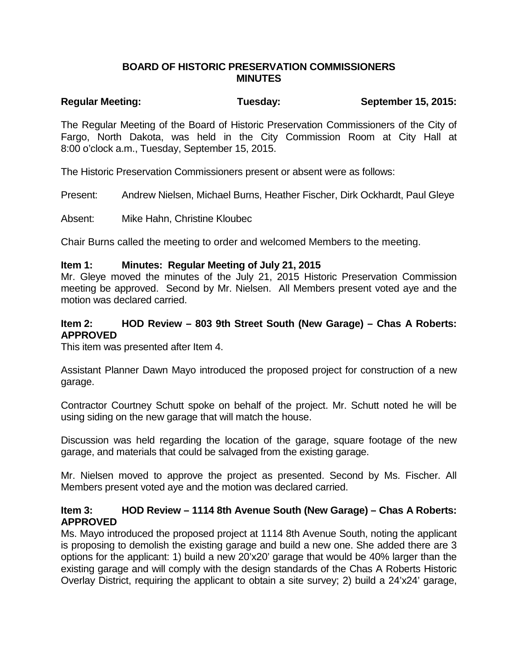#### **BOARD OF HISTORIC PRESERVATION COMMISSIONERS MINUTES**

# **Regular Meeting: Tuesday: September 15, 2015:**

The Regular Meeting of the Board of Historic Preservation Commissioners of the City of Fargo, North Dakota, was held in the City Commission Room at City Hall at 8:00 o'clock a.m., Tuesday, September 15, 2015.

The Historic Preservation Commissioners present or absent were as follows:

Present: Andrew Nielsen, Michael Burns, Heather Fischer, Dirk Ockhardt, Paul Gleye

Absent: Mike Hahn, Christine Kloubec

Chair Burns called the meeting to order and welcomed Members to the meeting.

#### **Item 1: Minutes: Regular Meeting of July 21, 2015**

Mr. Gleye moved the minutes of the July 21, 2015 Historic Preservation Commission meeting be approved. Second by Mr. Nielsen. All Members present voted aye and the motion was declared carried.

#### **Item 2: HOD Review – 803 9th Street South (New Garage) – Chas A Roberts: APPROVED**

This item was presented after Item 4.

Assistant Planner Dawn Mayo introduced the proposed project for construction of a new garage.

Contractor Courtney Schutt spoke on behalf of the project. Mr. Schutt noted he will be using siding on the new garage that will match the house.

Discussion was held regarding the location of the garage, square footage of the new garage, and materials that could be salvaged from the existing garage.

Mr. Nielsen moved to approve the project as presented. Second by Ms. Fischer. All Members present voted aye and the motion was declared carried.

## **Item 3: HOD Review – 1114 8th Avenue South (New Garage) – Chas A Roberts: APPROVED**

Ms. Mayo introduced the proposed project at 1114 8th Avenue South, noting the applicant is proposing to demolish the existing garage and build a new one. She added there are 3 options for the applicant: 1) build a new 20'x20' garage that would be 40% larger than the existing garage and will comply with the design standards of the Chas A Roberts Historic Overlay District, requiring the applicant to obtain a site survey; 2) build a 24'x24' garage,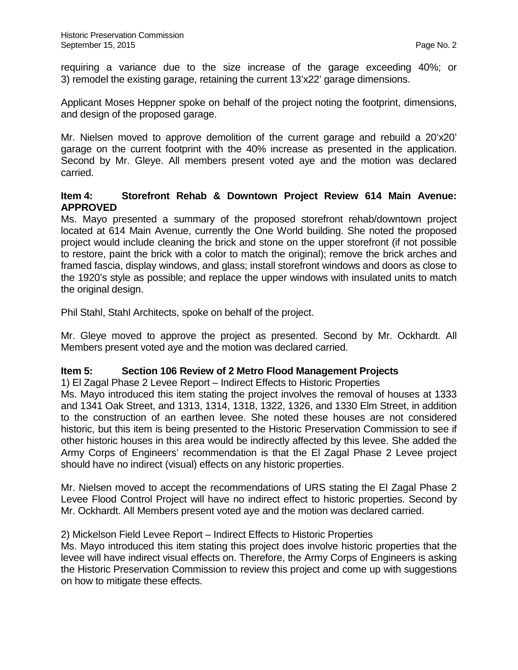requiring a variance due to the size increase of the garage exceeding 40%; or 3) remodel the existing garage, retaining the current 13'x22' garage dimensions.

Applicant Moses Heppner spoke on behalf of the project noting the footprint, dimensions, and design of the proposed garage.

Mr. Nielsen moved to approve demolition of the current garage and rebuild a 20'x20' garage on the current footprint with the 40% increase as presented in the application. Second by Mr. Gleye. All members present voted aye and the motion was declared carried.

#### **Item 4: Storefront Rehab & Downtown Project Review 614 Main Avenue: APPROVED**

Ms. Mayo presented a summary of the proposed storefront rehab/downtown project located at 614 Main Avenue, currently the One World building. She noted the proposed project would include cleaning the brick and stone on the upper storefront (if not possible to restore, paint the brick with a color to match the original); remove the brick arches and framed fascia, display windows, and glass; install storefront windows and doors as close to the 1920's style as possible; and replace the upper windows with insulated units to match the original design.

Phil Stahl, Stahl Architects, spoke on behalf of the project.

Mr. Gleye moved to approve the project as presented. Second by Mr. Ockhardt. All Members present voted aye and the motion was declared carried.

## **Item 5: Section 106 Review of 2 Metro Flood Management Projects**

1) El Zagal Phase 2 Levee Report – Indirect Effects to Historic Properties Ms. Mayo introduced this item stating the project involves the removal of houses at 1333 and 1341 Oak Street, and 1313, 1314, 1318, 1322, 1326, and 1330 Elm Street, in addition to the construction of an earthen levee. She noted these houses are not considered historic, but this item is being presented to the Historic Preservation Commission to see if

other historic houses in this area would be indirectly affected by this levee. She added the Army Corps of Engineers' recommendation is that the El Zagal Phase 2 Levee project should have no indirect (visual) effects on any historic properties.

Mr. Nielsen moved to accept the recommendations of URS stating the El Zagal Phase 2 Levee Flood Control Project will have no indirect effect to historic properties. Second by Mr. Ockhardt. All Members present voted aye and the motion was declared carried.

## 2) Mickelson Field Levee Report – Indirect Effects to Historic Properties

Ms. Mayo introduced this item stating this project does involve historic properties that the levee will have indirect visual effects on. Therefore, the Army Corps of Engineers is asking the Historic Preservation Commission to review this project and come up with suggestions on how to mitigate these effects.